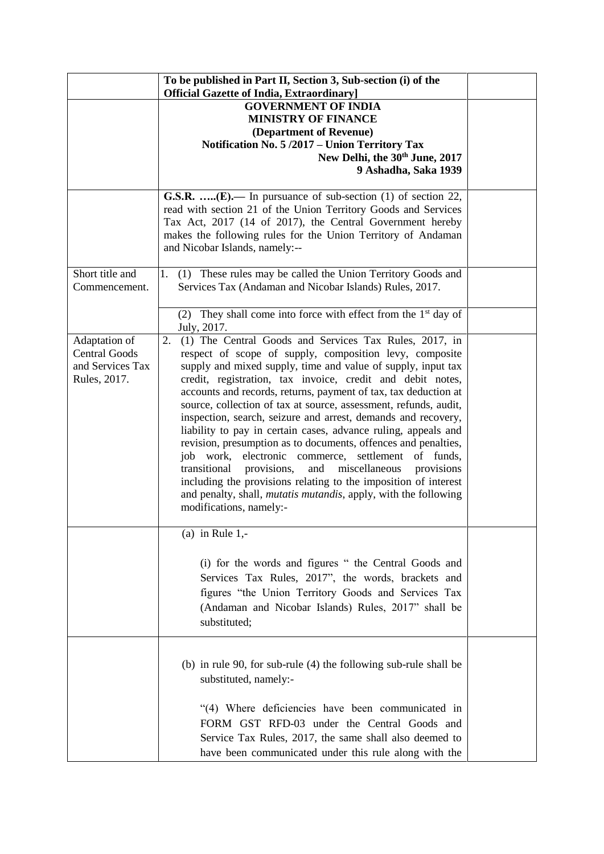|                                                                           | To be published in Part II, Section 3, Sub-section (i) of the<br><b>Official Gazette of India, Extraordinary</b> ]                                                                                                                                                                                                                                                                                                                                                                                                                                                                                                                                                                                                                                                                                                                                                                                     |  |
|---------------------------------------------------------------------------|--------------------------------------------------------------------------------------------------------------------------------------------------------------------------------------------------------------------------------------------------------------------------------------------------------------------------------------------------------------------------------------------------------------------------------------------------------------------------------------------------------------------------------------------------------------------------------------------------------------------------------------------------------------------------------------------------------------------------------------------------------------------------------------------------------------------------------------------------------------------------------------------------------|--|
|                                                                           | <b>GOVERNMENT OF INDIA</b><br><b>MINISTRY OF FINANCE</b><br>(Department of Revenue)<br>Notification No. 5/2017 - Union Territory Tax<br>New Delhi, the 30 <sup>th</sup> June, 2017<br>9 Ashadha, Saka 1939                                                                                                                                                                                                                                                                                                                                                                                                                                                                                                                                                                                                                                                                                             |  |
|                                                                           | <b>G.S.R. </b> (E).— In pursuance of sub-section (1) of section $22$ ,<br>read with section 21 of the Union Territory Goods and Services<br>Tax Act, 2017 (14 of 2017), the Central Government hereby<br>makes the following rules for the Union Territory of Andaman<br>and Nicobar Islands, namely:--                                                                                                                                                                                                                                                                                                                                                                                                                                                                                                                                                                                                |  |
| Short title and<br>Commencement.                                          | 1. (1) These rules may be called the Union Territory Goods and<br>Services Tax (Andaman and Nicobar Islands) Rules, 2017.                                                                                                                                                                                                                                                                                                                                                                                                                                                                                                                                                                                                                                                                                                                                                                              |  |
|                                                                           | (2) They shall come into force with effect from the $1st$ day of<br>July, 2017.                                                                                                                                                                                                                                                                                                                                                                                                                                                                                                                                                                                                                                                                                                                                                                                                                        |  |
| Adaptation of<br><b>Central Goods</b><br>and Services Tax<br>Rules, 2017. | (1) The Central Goods and Services Tax Rules, 2017, in<br>2.<br>respect of scope of supply, composition levy, composite<br>supply and mixed supply, time and value of supply, input tax<br>credit, registration, tax invoice, credit and debit notes,<br>accounts and records, returns, payment of tax, tax deduction at<br>source, collection of tax at source, assessment, refunds, audit,<br>inspection, search, seizure and arrest, demands and recovery,<br>liability to pay in certain cases, advance ruling, appeals and<br>revision, presumption as to documents, offences and penalties,<br>job work, electronic commerce, settlement of funds,<br>transitional<br>and<br>miscellaneous<br>provisions,<br>provisions<br>including the provisions relating to the imposition of interest<br>and penalty, shall, <i>mutatis mutandis</i> , apply, with the following<br>modifications, namely:- |  |
|                                                                           | (a) in Rule $1,-$<br>(i) for the words and figures " the Central Goods and<br>Services Tax Rules, 2017", the words, brackets and<br>figures "the Union Territory Goods and Services Tax<br>(Andaman and Nicobar Islands) Rules, 2017" shall be<br>substituted;                                                                                                                                                                                                                                                                                                                                                                                                                                                                                                                                                                                                                                         |  |
|                                                                           | (b) in rule 90, for sub-rule (4) the following sub-rule shall be<br>substituted, namely:-<br>"(4) Where deficiencies have been communicated in<br>FORM GST RFD-03 under the Central Goods and<br>Service Tax Rules, 2017, the same shall also deemed to<br>have been communicated under this rule along with the                                                                                                                                                                                                                                                                                                                                                                                                                                                                                                                                                                                       |  |